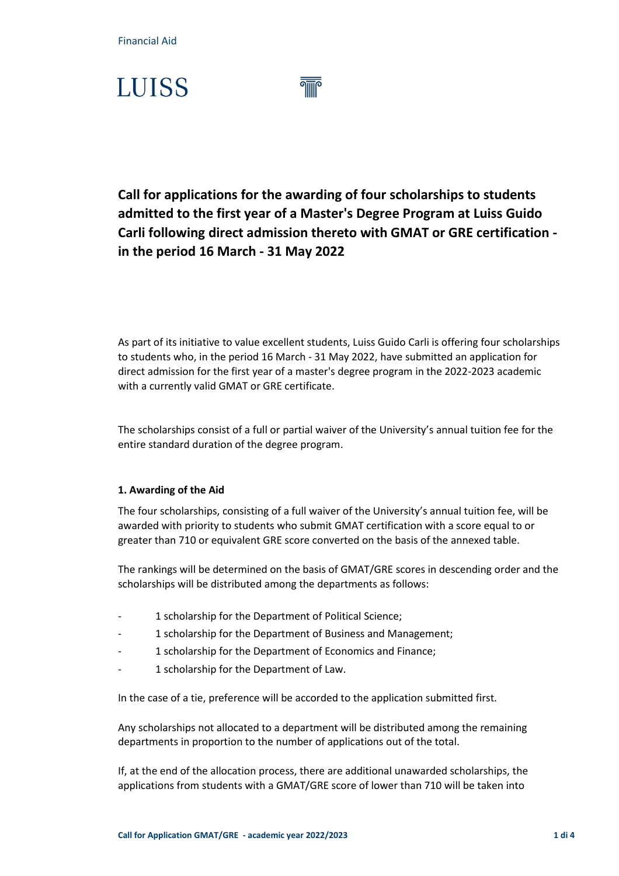Financial Aid

# **LUISS**

**Call for applications for the awarding of four scholarships to students admitted to the first year of a Master's Degree Program at Luiss Guido Carli following direct admission thereto with GMAT or GRE certification in the period 16 March - 31 May 2022**

As part of its initiative to value excellent students, Luiss Guido Carli is offering four scholarships to students who, in the period 16 March - 31 May 2022, have submitted an application for direct admission for the first year of a master's degree program in the 2022-2023 academic with a currently valid GMAT or GRE certificate.

The scholarships consist of a full or partial waiver of the University's annual tuition fee for the entire standard duration of the degree program.

### **1. Awarding of the Aid**

The four scholarships, consisting of a full waiver of the University's annual tuition fee, will be awarded with priority to students who submit GMAT certification with a score equal to or greater than 710 or equivalent GRE score converted on the basis of the annexed table.

The rankings will be determined on the basis of GMAT/GRE scores in descending order and the scholarships will be distributed among the departments as follows:

- 1 scholarship for the Department of Political Science;
- 1 scholarship for the Department of Business and Management;
- 1 scholarship for the Department of Economics and Finance;
- 1 scholarship for the Department of Law.

In the case of a tie, preference will be accorded to the application submitted first.

Any scholarships not allocated to a department will be distributed among the remaining departments in proportion to the number of applications out of the total.

If, at the end of the allocation process, there are additional unawarded scholarships, the applications from students with a GMAT/GRE score of lower than 710 will be taken into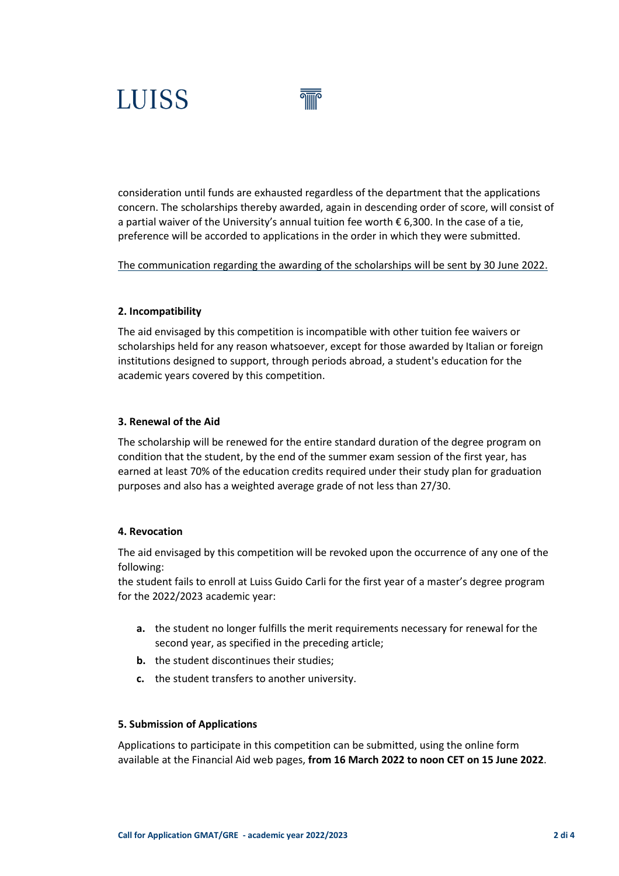# **LUISS**

consideration until funds are exhausted regardless of the department that the applications concern. The scholarships thereby awarded, again in descending order of score, will consist of a partial waiver of the University's annual tuition fee worth € 6,300. In the case of a tie, preference will be accorded to applications in the order in which they were submitted.

The communication regarding the awarding of the scholarships will be sent by 30 June 2022.

#### **2. Incompatibility**

The aid envisaged by this competition is incompatible with other tuition fee waivers or scholarships held for any reason whatsoever, except for those awarded by Italian or foreign institutions designed to support, through periods abroad, a student's education for the academic years covered by this competition.

#### **3. Renewal of the Aid**

The scholarship will be renewed for the entire standard duration of the degree program on condition that the student, by the end of the summer exam session of the first year, has earned at least 70% of the education credits required under their study plan for graduation purposes and also has a weighted average grade of not less than 27/30.

#### **4. Revocation**

The aid envisaged by this competition will be revoked upon the occurrence of any one of the following:

the student fails to enroll at Luiss Guido Carli for the first year of a master's degree program for the 2022/2023 academic year:

- **a.** the student no longer fulfills the merit requirements necessary for renewal for the second year, as specified in the preceding article;
- **b.** the student discontinues their studies;
- **c.** the student transfers to another university.

#### **5. Submission of Applications**

Applications to participate in this competition can be submitted, using the online form available at the Financial Aid web pages, **from 16 March 2022 to noon CET on 15 June 2022**.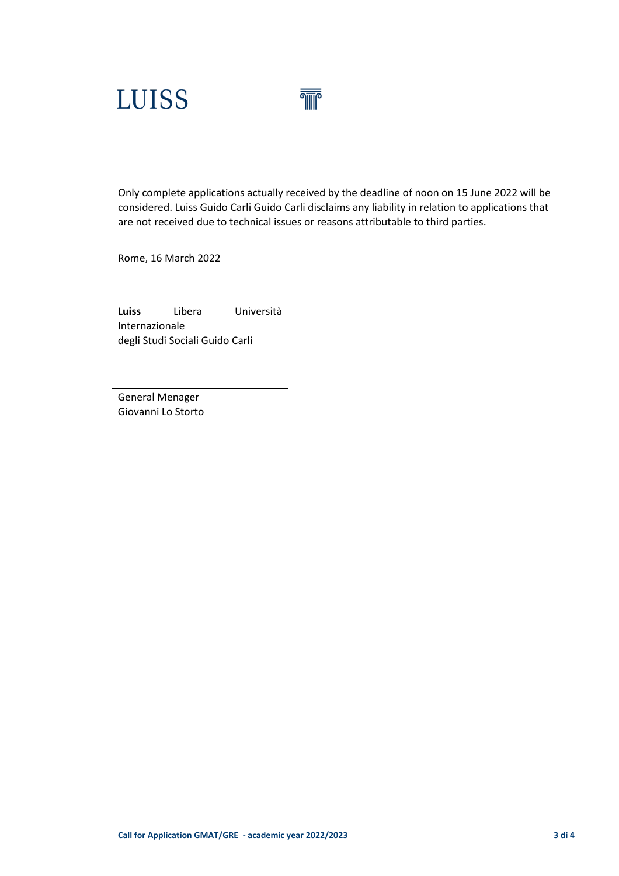

Only complete applications actually received by the deadline of noon on 15 June 2022 will be considered. Luiss Guido Carli Guido Carli disclaims any liability in relation to applications that are not received due to technical issues or reasons attributable to third parties.

Rome, 16 March 2022

**Luiss** Libera Università Internazionale degli Studi Sociali Guido Carli

General Menager Giovanni Lo Storto